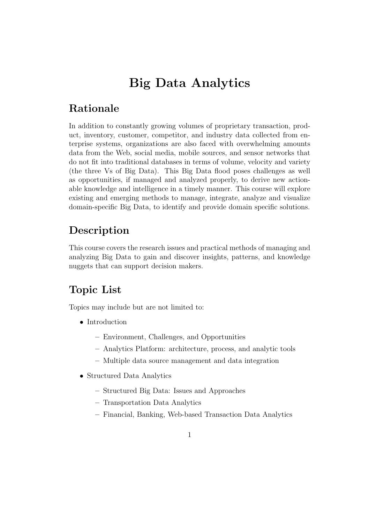# Big Data Analytics

### Rationale

In addition to constantly growing volumes of proprietary transaction, product, inventory, customer, competitor, and industry data collected from enterprise systems, organizations are also faced with overwhelming amounts data from the Web, social media, mobile sources, and sensor networks that do not fit into traditional databases in terms of volume, velocity and variety (the three Vs of Big Data). This Big Data flood poses challenges as well as opportunities, if managed and analyzed properly, to derive new actionable knowledge and intelligence in a timely manner. This course will explore existing and emerging methods to manage, integrate, analyze and visualize domain-specific Big Data, to identify and provide domain specific solutions.

### Description

This course covers the research issues and practical methods of managing and analyzing Big Data to gain and discover insights, patterns, and knowledge nuggets that can support decision makers.

## Topic List

Topics may include but are not limited to:

- Introduction
	- Environment, Challenges, and Opportunities
	- Analytics Platform: architecture, process, and analytic tools
	- Multiple data source management and data integration
- Structured Data Analytics
	- Structured Big Data: Issues and Approaches
	- Transportation Data Analytics
	- Financial, Banking, Web-based Transaction Data Analytics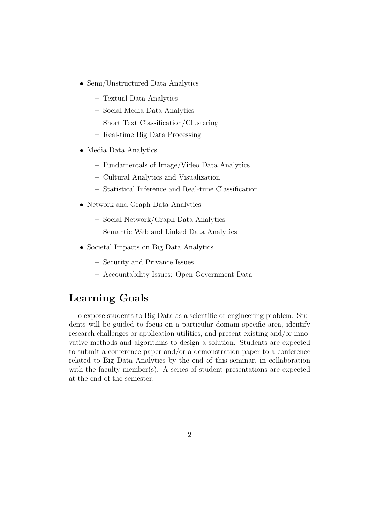- Semi/Unstructured Data Analytics
	- Textual Data Analytics
	- Social Media Data Analytics
	- Short Text Classification/Clustering
	- Real-time Big Data Processing
- Media Data Analytics
	- Fundamentals of Image/Video Data Analytics
	- Cultural Analytics and Visualization
	- Statistical Inference and Real-time Classification
- Network and Graph Data Analytics
	- Social Network/Graph Data Analytics
	- Semantic Web and Linked Data Analytics
- Societal Impacts on Big Data Analytics
	- Security and Privance Issues
	- Accountability Issues: Open Government Data

### Learning Goals

- To expose students to Big Data as a scientific or engineering problem. Students will be guided to focus on a particular domain specific area, identify research challenges or application utilities, and present existing and/or innovative methods and algorithms to design a solution. Students are expected to submit a conference paper and/or a demonstration paper to a conference related to Big Data Analytics by the end of this seminar, in collaboration with the faculty member(s). A series of student presentations are expected at the end of the semester.